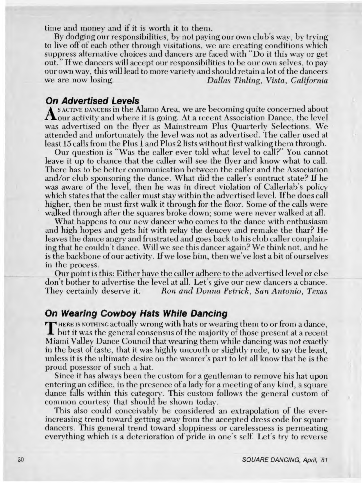## **On Wearing Cowboy Hats While Dancing**

**r** HERE IS NOTHING actually wrong with hats or wearing them to or from a dance, **I but it was the general consensus of the majority of those present at a recent Miami Valley Dance Council that wearing them while dancing was not exactly in the best of taste, that it was highly uncouth or slightly rude, to say the least, unless it is the ultimate desire on the wearer's part to let all know that he is the proud posessor of such a hat.** 

**Since it has always been the custom for a gentleman to remove his hat upon entering an edifice, in the presence of a lady for a meeting of any kind, a square dance falls within this category. This custom follows the general custom of common courtesy that should be shown today.** 

**This also could conceivably be considered an extrapolation of the everincreasing trend toward getting away from the accepted dress code for square dancers. This general trend toward sloppiness or carelessness is permeating everything which is a deterioration of pride in one's self. Let's try to reverse**